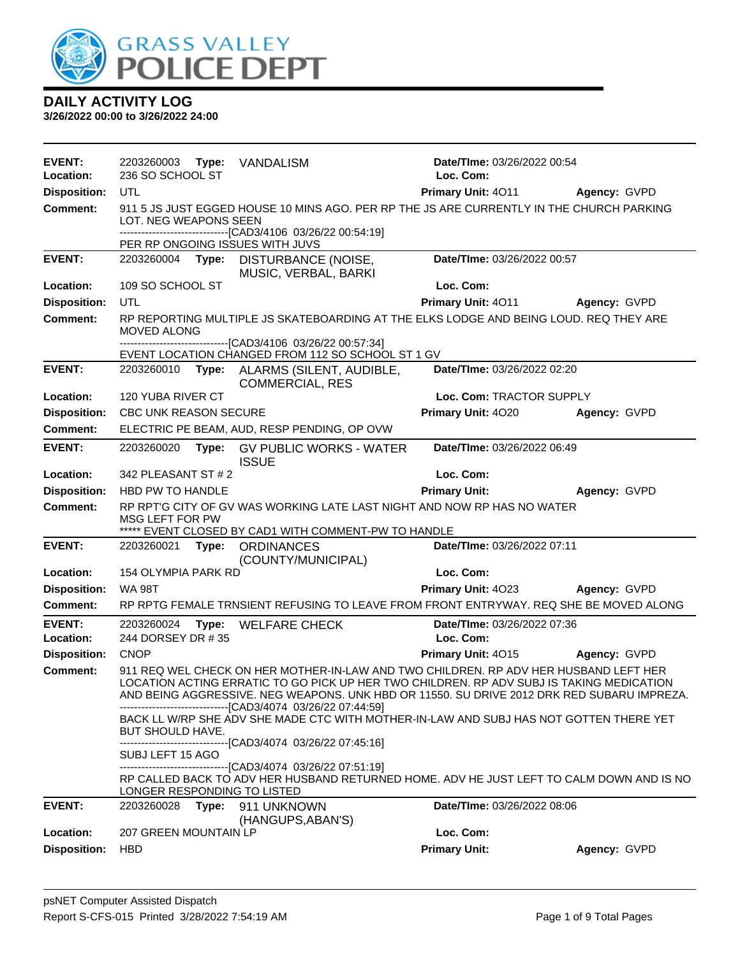

| EVENT:<br>Location:        | 236 SO SCHOOL ST            |       | 2203260003 Type: VANDALISM                                                                                                                                                                                                                                                                                                                     | Date/TIme: 03/26/2022 00:54<br>Loc. Com: |              |
|----------------------------|-----------------------------|-------|------------------------------------------------------------------------------------------------------------------------------------------------------------------------------------------------------------------------------------------------------------------------------------------------------------------------------------------------|------------------------------------------|--------------|
| <b>Disposition:</b>        | UTL                         |       |                                                                                                                                                                                                                                                                                                                                                | <b>Primary Unit: 4011</b>                | Agency: GVPD |
| <b>Comment:</b>            | LOT. NEG WEAPONS SEEN       |       | 911 5 JS JUST EGGED HOUSE 10 MINS AGO. PER RP THE JS ARE CURRENTLY IN THE CHURCH PARKING<br>-------------------------------[CAD3/4106 03/26/22 00:54:19]<br>PER RP ONGOING ISSUES WITH JUVS                                                                                                                                                    |                                          |              |
| <b>EVENT:</b>              |                             |       | 2203260004 Type: DISTURBANCE (NOISE,<br>MUSIC, VERBAL, BARKI                                                                                                                                                                                                                                                                                   | Date/TIme: 03/26/2022 00:57              |              |
| Location:                  | 109 SO SCHOOL ST            |       |                                                                                                                                                                                                                                                                                                                                                | Loc. Com:                                |              |
| <b>Disposition:</b>        | UTL                         |       |                                                                                                                                                                                                                                                                                                                                                | Primary Unit: 4011                       | Agency: GVPD |
| <b>Comment:</b>            | <b>MOVED ALONG</b>          |       | RP REPORTING MULTIPLE JS SKATEBOARDING AT THE ELKS LODGE AND BEING LOUD. REQ THEY ARE                                                                                                                                                                                                                                                          |                                          |              |
|                            |                             |       | ------------------[CAD3/4106 03/26/22 00:57:34]<br>EVENT LOCATION CHANGED FROM 112 SO SCHOOL ST 1 GV                                                                                                                                                                                                                                           |                                          |              |
| <b>EVENT:</b>              | 2203260010                  |       | Type: ALARMS (SILENT, AUDIBLE,<br><b>COMMERCIAL, RES</b>                                                                                                                                                                                                                                                                                       | Date/TIme: 03/26/2022 02:20              |              |
| Location:                  | 120 YUBA RIVER CT           |       |                                                                                                                                                                                                                                                                                                                                                | Loc. Com: TRACTOR SUPPLY                 |              |
| <b>Disposition:</b>        | CBC UNK REASON SECURE       |       |                                                                                                                                                                                                                                                                                                                                                | Primary Unit: 4020                       | Agency: GVPD |
| <b>Comment:</b>            |                             |       | ELECTRIC PE BEAM, AUD, RESP PENDING, OP OVW                                                                                                                                                                                                                                                                                                    |                                          |              |
| <b>EVENT:</b>              | 2203260020                  | Type: | <b>GV PUBLIC WORKS - WATER</b><br><b>ISSUE</b>                                                                                                                                                                                                                                                                                                 | Date/TIme: 03/26/2022 06:49              |              |
| Location:                  | 342 PLEASANT ST # 2         |       |                                                                                                                                                                                                                                                                                                                                                | Loc. Com:                                |              |
| <b>Disposition:</b>        | HBD PW TO HANDLE            |       |                                                                                                                                                                                                                                                                                                                                                | <b>Primary Unit:</b>                     | Agency: GVPD |
| <b>Comment:</b>            | MSG LEFT FOR PW             |       | RP RPT'G CITY OF GV WAS WORKING LATE LAST NIGHT AND NOW RP HAS NO WATER<br>***** EVENT CLOSED BY CAD1 WITH COMMENT-PW TO HANDLE                                                                                                                                                                                                                |                                          |              |
| <b>EVENT:</b>              | 2203260021                  |       | Type: ORDINANCES<br>(COUNTY/MUNICIPAL)                                                                                                                                                                                                                                                                                                         | Date/TIme: 03/26/2022 07:11              |              |
| Location:                  | 154 OLYMPIA PARK RD         |       |                                                                                                                                                                                                                                                                                                                                                | Loc. Com:                                |              |
| <b>Disposition:</b>        | <b>WA 98T</b>               |       |                                                                                                                                                                                                                                                                                                                                                | Primary Unit: 4023                       | Agency: GVPD |
| Comment:                   |                             |       | RP RPTG FEMALE TRNSIENT REFUSING TO LEAVE FROM FRONT ENTRYWAY. REQ SHE BE MOVED ALONG                                                                                                                                                                                                                                                          |                                          |              |
| <b>EVENT:</b><br>Location: | 244 DORSEY DR #35           |       | 2203260024 Type: WELFARE CHECK                                                                                                                                                                                                                                                                                                                 | Date/TIme: 03/26/2022 07:36<br>Loc. Com: |              |
| <b>Disposition:</b>        | <b>CNOP</b>                 |       |                                                                                                                                                                                                                                                                                                                                                | <b>Primary Unit: 4015</b>                | Agency: GVPD |
| Comment:                   |                             |       | 911 REQ WEL CHECK ON HER MOTHER-IN-LAW AND TWO CHILDREN. RP ADV HER HUSBAND LEFT HER<br>LOCATION ACTING ERRATIC TO GO PICK UP HER TWO CHILDREN. RP ADV SUBJ IS TAKING MEDICATION<br>AND BEING AGGRESSIVE. NEG WEAPONS. UNK HBD OR 11550. SU DRIVE 2012 DRK RED SUBARU IMPREZA.<br>-------------------------------[CAD3/4074 03/26/22 07:44:59] |                                          |              |
|                            | BUT SHOULD HAVE.            |       | BACK LL W/RP SHE ADV SHE MADE CTC WITH MOTHER-IN-LAW AND SUBJ HAS NOT GOTTEN THERE YET<br>-------------------------------[CAD3/4074 03/26/22 07:45:16]                                                                                                                                                                                         |                                          |              |
|                            | SUBJ LEFT 15 AGO            |       | --------------------------------[CAD3/4074 03/26/22 07:51:19]                                                                                                                                                                                                                                                                                  |                                          |              |
|                            | LONGER RESPONDING TO LISTED |       | RP CALLED BACK TO ADV HER HUSBAND RETURNED HOME. ADV HE JUST LEFT TO CALM DOWN AND IS NO                                                                                                                                                                                                                                                       |                                          |              |
| <b>EVENT:</b>              | 2203260028                  |       | Type: 911 UNKNOWN<br>(HANGUPS, ABAN'S)                                                                                                                                                                                                                                                                                                         | Date/TIme: 03/26/2022 08:06              |              |
| Location:                  | 207 GREEN MOUNTAIN LP       |       |                                                                                                                                                                                                                                                                                                                                                | Loc. Com:                                |              |
| <b>Disposition:</b>        | <b>HBD</b>                  |       |                                                                                                                                                                                                                                                                                                                                                | <b>Primary Unit:</b>                     | Agency: GVPD |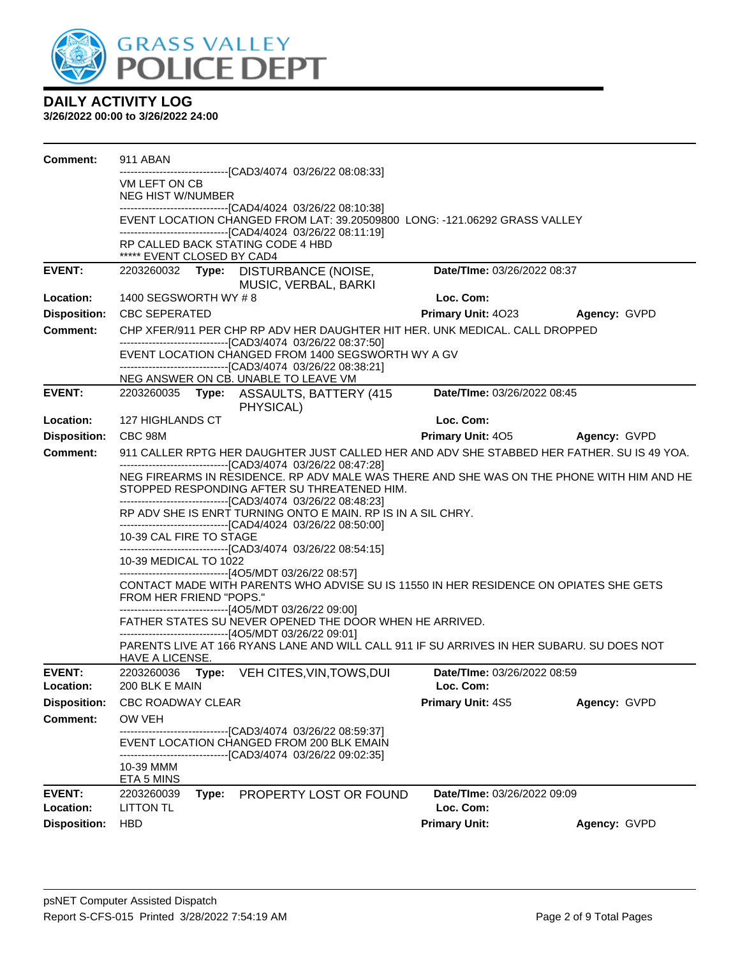

| <b>Comment:</b>                        | 911 ABAN                                                                                                                                                 |                                                                                                                                                      |                                    |              |  |  |
|----------------------------------------|----------------------------------------------------------------------------------------------------------------------------------------------------------|------------------------------------------------------------------------------------------------------------------------------------------------------|------------------------------------|--------------|--|--|
|                                        | VM LEFT ON CB                                                                                                                                            | --------------------[CAD3/4074_03/26/22_08:08:33]                                                                                                    |                                    |              |  |  |
|                                        | <b>NEG HIST W/NUMBER</b>                                                                                                                                 |                                                                                                                                                      |                                    |              |  |  |
|                                        |                                                                                                                                                          | -------------------------------[CAD4/4024 03/26/22 08:10:38]<br>EVENT LOCATION CHANGED FROM LAT: 39.20509800 LONG: -121.06292 GRASS VALLEY           |                                    |              |  |  |
|                                        |                                                                                                                                                          | -------------------------------[CAD4/4024 03/26/22 08:11:19]                                                                                         |                                    |              |  |  |
|                                        | RP CALLED BACK STATING CODE 4 HBD<br>***** EVENT CLOSED BY CAD4                                                                                          |                                                                                                                                                      |                                    |              |  |  |
| <b>EVENT:</b>                          |                                                                                                                                                          | 2203260032 Type: DISTURBANCE (NOISE,                                                                                                                 | Date/TIme: 03/26/2022 08:37        |              |  |  |
|                                        |                                                                                                                                                          | MUSIC, VERBAL, BARKI                                                                                                                                 |                                    |              |  |  |
| Location:                              | 1400 SEGSWORTH WY #8                                                                                                                                     |                                                                                                                                                      | Loc. Com:                          |              |  |  |
| <b>Disposition:</b>                    | <b>CBC SEPERATED</b>                                                                                                                                     |                                                                                                                                                      | <b>Primary Unit: 4023</b>          | Agency: GVPD |  |  |
| <b>Comment:</b>                        |                                                                                                                                                          | CHP XFER/911 PER CHP RP ADV HER DAUGHTER HIT HER. UNK MEDICAL. CALL DROPPED                                                                          |                                    |              |  |  |
|                                        |                                                                                                                                                          | -------------------------------[CAD3/4074 03/26/22 08:37:50]<br>EVENT LOCATION CHANGED FROM 1400 SEGSWORTH WY A GV                                   |                                    |              |  |  |
|                                        |                                                                                                                                                          | ------------------------------[CAD3/4074 03/26/22 08:38:21]                                                                                          |                                    |              |  |  |
| <b>EVENT:</b>                          |                                                                                                                                                          | NEG ANSWER ON CB. UNABLE TO LEAVE VM                                                                                                                 |                                    |              |  |  |
|                                        |                                                                                                                                                          | 2203260035 Type: ASSAULTS, BATTERY (415<br>PHYSICAL)                                                                                                 | Date/TIme: 03/26/2022 08:45        |              |  |  |
| Location:                              | 127 HIGHLANDS CT                                                                                                                                         |                                                                                                                                                      | Loc. Com:                          |              |  |  |
| <b>Disposition:</b>                    | CBC 98M                                                                                                                                                  |                                                                                                                                                      | <b>Primary Unit: 405</b>           | Agency: GVPD |  |  |
| <b>Comment:</b>                        |                                                                                                                                                          | 911 CALLER RPTG HER DAUGHTER JUST CALLED HER AND ADV SHE STABBED HER FATHER. SU IS 49 YOA.                                                           |                                    |              |  |  |
|                                        | ------------------------------[CAD3/4074 03/26/22 08:47:28]<br>NEG FIREARMS IN RESIDENCE. RP ADV MALE WAS THERE AND SHE WAS ON THE PHONE WITH HIM AND HE |                                                                                                                                                      |                                    |              |  |  |
|                                        | STOPPED RESPONDING AFTER SU THREATENED HIM.                                                                                                              |                                                                                                                                                      |                                    |              |  |  |
|                                        |                                                                                                                                                          | -------------------------------[CAD3/4074 03/26/22 08:48:23]<br>RP ADV SHE IS ENRT TURNING ONTO E MAIN. RP IS IN A SIL CHRY.                         |                                    |              |  |  |
|                                        |                                                                                                                                                          | -------------------------------[CAD4/4024 03/26/22 08:50:00]                                                                                         |                                    |              |  |  |
|                                        | 10-39 CAL FIRE TO STAGE                                                                                                                                  |                                                                                                                                                      |                                    |              |  |  |
|                                        | 10-39 MEDICAL TO 1022                                                                                                                                    | -------------------------------[CAD3/4074 03/26/22 08:54:15]                                                                                         |                                    |              |  |  |
|                                        |                                                                                                                                                          | -----------------------------[4O5/MDT 03/26/22 08:57]                                                                                                |                                    |              |  |  |
|                                        | FROM HER FRIEND "POPS."                                                                                                                                  | CONTACT MADE WITH PARENTS WHO ADVISE SU IS 11550 IN HER RESIDENCE ON OPIATES SHE GETS                                                                |                                    |              |  |  |
|                                        |                                                                                                                                                          | ------------------------------[4O5/MDT 03/26/22 09:00]                                                                                               |                                    |              |  |  |
|                                        |                                                                                                                                                          | FATHER STATES SU NEVER OPENED THE DOOR WHEN HE ARRIVED.                                                                                              |                                    |              |  |  |
|                                        |                                                                                                                                                          | -------------------------------[4O5/MDT 03/26/22 09:01]<br>PARENTS LIVE AT 166 RYANS LANE AND WILL CALL 911 IF SU ARRIVES IN HER SUBARU. SU DOES NOT |                                    |              |  |  |
|                                        | HAVE A LICENSE.                                                                                                                                          |                                                                                                                                                      |                                    |              |  |  |
| <b>EVENT:</b>                          | 2203260036                                                                                                                                               | Type: VEH CITES, VIN, TOWS, DUI                                                                                                                      | Date/TIme: 03/26/2022 08:59        |              |  |  |
| Location:                              | 200 BLK E MAIN                                                                                                                                           |                                                                                                                                                      | Loc. Com:                          |              |  |  |
| <b>Disposition:</b><br><b>Comment:</b> | <b>CBC ROADWAY CLEAR</b>                                                                                                                                 |                                                                                                                                                      | Primary Unit: 4S5                  | Agency: GVPD |  |  |
|                                        | OW VEH                                                                                                                                                   | ---------------[CAD3/4074_03/26/22_08:59:37]                                                                                                         |                                    |              |  |  |
|                                        |                                                                                                                                                          | EVENT LOCATION CHANGED FROM 200 BLK EMAIN                                                                                                            |                                    |              |  |  |
|                                        | 10-39 MMM                                                                                                                                                | ---------------------[CAD3/4074_03/26/22_09:02:35]                                                                                                   |                                    |              |  |  |
|                                        | ETA 5 MINS                                                                                                                                               |                                                                                                                                                      |                                    |              |  |  |
| <b>EVENT:</b>                          | 2203260039<br>Type:                                                                                                                                      | PROPERTY LOST OR FOUND                                                                                                                               | <b>Date/TIme: 03/26/2022 09:09</b> |              |  |  |
| Location:                              | <b>LITTON TL</b>                                                                                                                                         |                                                                                                                                                      | Loc. Com:                          |              |  |  |
| <b>Disposition:</b>                    | <b>HBD</b>                                                                                                                                               |                                                                                                                                                      | <b>Primary Unit:</b>               | Agency: GVPD |  |  |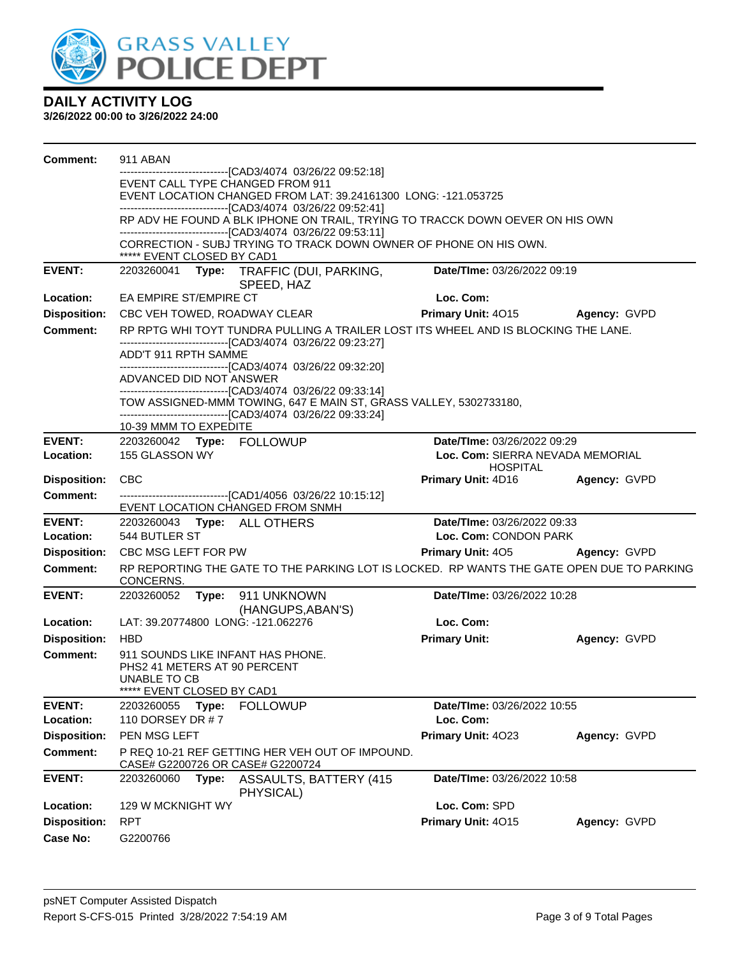

| <b>Comment:</b>     | 911 ABAN                                                                   |       |                                                                                                                                                    |                                    |              |
|---------------------|----------------------------------------------------------------------------|-------|----------------------------------------------------------------------------------------------------------------------------------------------------|------------------------------------|--------------|
|                     |                                                                            |       | ------------------------[CAD3/4074_03/26/22_09:52:18]                                                                                              |                                    |              |
|                     |                                                                            |       | EVENT CALL TYPE CHANGED FROM 911<br>EVENT LOCATION CHANGED FROM LAT: 39.24161300 LONG: -121.053725                                                 |                                    |              |
|                     |                                                                            |       | -------------------------------[CAD3/4074 03/26/22 09:52:41]                                                                                       |                                    |              |
|                     |                                                                            |       | RP ADV HE FOUND A BLK IPHONE ON TRAIL, TRYING TO TRACCK DOWN OEVER ON HIS OWN<br>------------------------------[CAD3/4074 03/26/22 09:53:11]       |                                    |              |
|                     | ***** EVENT CLOSED BY CAD1                                                 |       | CORRECTION - SUBJ TRYING TO TRACK DOWN OWNER OF PHONE ON HIS OWN.                                                                                  |                                    |              |
| <b>EVENT:</b>       | 2203260041                                                                 |       | Type: TRAFFIC (DUI, PARKING,                                                                                                                       | Date/TIme: 03/26/2022 09:19        |              |
|                     |                                                                            |       | SPEED, HAZ                                                                                                                                         |                                    |              |
| Location:           | EA EMPIRE ST/EMPIRE CT                                                     |       |                                                                                                                                                    | Loc. Com:                          |              |
| <b>Disposition:</b> |                                                                            |       | CBC VEH TOWED, ROADWAY CLEAR                                                                                                                       | <b>Primary Unit: 4015</b>          | Agency: GVPD |
| Comment:            |                                                                            |       | RP RPTG WHI TOYT TUNDRA PULLING A TRAILER LOST ITS WHEEL AND IS BLOCKING THE LANE.<br>-------------------------------[CAD3/4074_03/26/22_09:23:27] |                                    |              |
|                     | ADD'T 911 RPTH SAMME                                                       |       | ------------------------------[CAD3/4074_03/26/22 09:32:20]                                                                                        |                                    |              |
|                     | ADVANCED DID NOT ANSWER                                                    |       | -------------------------------[CAD3/4074 03/26/22 09:33:14]                                                                                       |                                    |              |
|                     |                                                                            |       | TOW ASSIGNED-MMM TOWING, 647 E MAIN ST, GRASS VALLEY, 5302733180,                                                                                  |                                    |              |
|                     | 10-39 MMM TO EXPEDITE                                                      |       | ------------------------------[CAD3/4074_03/26/22_09:33:24]                                                                                        |                                    |              |
| <b>EVENT:</b>       | 2203260042 Type: FOLLOWUP                                                  |       |                                                                                                                                                    | <b>Date/Time: 03/26/2022 09:29</b> |              |
| Location:           | 155 GLASSON WY<br>Loc. Com: SIERRA NEVADA MEMORIAL<br><b>HOSPITAL</b>      |       |                                                                                                                                                    |                                    |              |
| <b>Disposition:</b> | <b>CBC</b>                                                                 |       |                                                                                                                                                    | Primary Unit: 4D16                 | Agency: GVPD |
| <b>Comment:</b>     |                                                                            |       | -------------------------------[CAD1/4056 03/26/22 10:15:12]<br>EVENT LOCATION CHANGED FROM SNMH                                                   |                                    |              |
| <b>EVENT:</b>       | 2203260043 Type: ALL OTHERS                                                |       |                                                                                                                                                    | Date/TIme: 03/26/2022 09:33        |              |
| Location:           | 544 BUTLER ST                                                              |       |                                                                                                                                                    | Loc. Com: CONDON PARK              |              |
| <b>Disposition:</b> | CBC MSG LEFT FOR PW                                                        |       |                                                                                                                                                    | <b>Primary Unit: 405</b>           | Agency: GVPD |
| <b>Comment:</b>     | CONCERNS.                                                                  |       | RP REPORTING THE GATE TO THE PARKING LOT IS LOCKED. RP WANTS THE GATE OPEN DUE TO PARKING                                                          |                                    |              |
| <b>EVENT:</b>       | 2203260052                                                                 |       | Type: 911 UNKNOWN                                                                                                                                  | Date/TIme: 03/26/2022 10:28        |              |
|                     | LAT: 39.20774800 LONG: -121.062276                                         |       | (HANGUPS, ABAN'S)                                                                                                                                  |                                    |              |
| Location:           |                                                                            |       |                                                                                                                                                    | Loc. Com:                          |              |
| <b>Disposition:</b> | <b>HBD</b>                                                                 |       |                                                                                                                                                    | <b>Primary Unit:</b>               | Agency: GVPD |
| <b>Comment:</b>     | PHS2 41 METERS AT 90 PERCENT<br>UNABLE TO CB<br>***** EVENT CLOSED BY CAD1 |       | 911 SOUNDS LIKE INFANT HAS PHONE.                                                                                                                  |                                    |              |
| <b>EVENT:</b>       | 2203260055                                                                 | Type: | <b>FOLLOWUP</b>                                                                                                                                    | Date/TIme: 03/26/2022 10:55        |              |
| Location:           | 110 DORSEY DR #7                                                           |       |                                                                                                                                                    | Loc. Com:                          |              |
| <b>Disposition:</b> | PEN MSG LEFT                                                               |       |                                                                                                                                                    | Primary Unit: 4023                 | Agency: GVPD |
| <b>Comment:</b>     |                                                                            |       | P REQ 10-21 REF GETTING HER VEH OUT OF IMPOUND.<br>CASE# G2200726 OR CASE# G2200724                                                                |                                    |              |
| <b>EVENT:</b>       | 2203260060                                                                 | Type: | <b>ASSAULTS, BATTERY (415)</b><br>PHYSICAL)                                                                                                        | Date/TIme: 03/26/2022 10:58        |              |
| Location:           | 129 W MCKNIGHT WY                                                          |       |                                                                                                                                                    | Loc. Com: SPD                      |              |
| <b>Disposition:</b> | <b>RPT</b>                                                                 |       |                                                                                                                                                    | Primary Unit: 4015                 | Agency: GVPD |
| Case No:            | G2200766                                                                   |       |                                                                                                                                                    |                                    |              |
|                     |                                                                            |       |                                                                                                                                                    |                                    |              |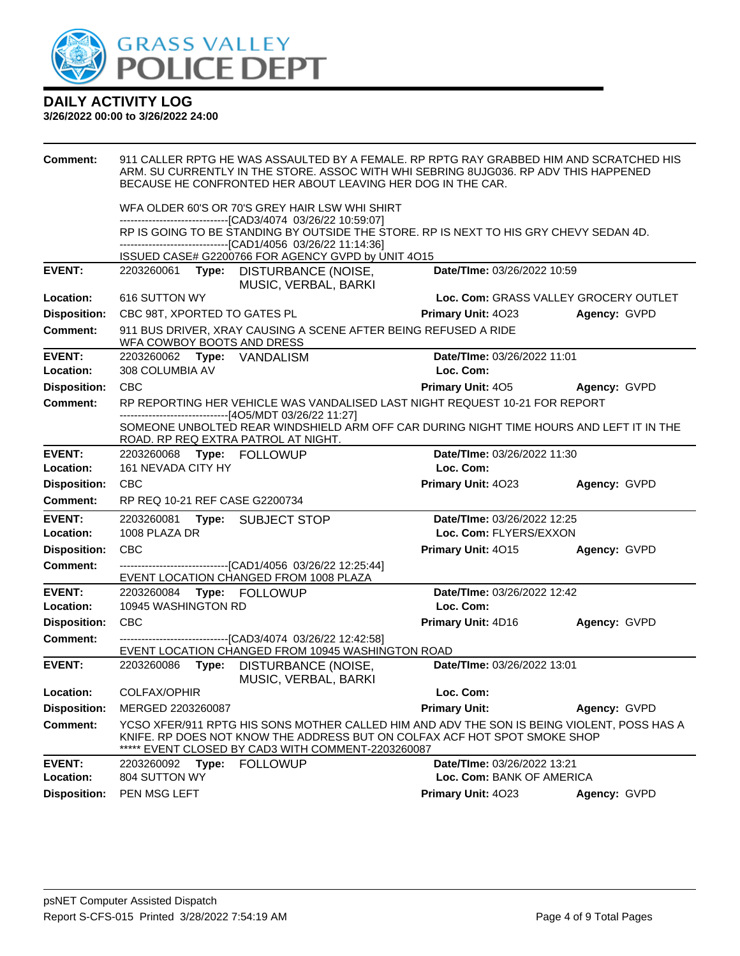

| <b>Comment:</b>                   | 911 CALLER RPTG HE WAS ASSAULTED BY A FEMALE. RP RPTG RAY GRABBED HIM AND SCRATCHED HIS<br>ARM. SU CURRENTLY IN THE STORE. ASSOC WITH WHI SEBRING 8UJG036. RP ADV THIS HAPPENED<br>BECAUSE HE CONFRONTED HER ABOUT LEAVING HER DOG IN THE CAR. |                                                                                                                                                                                                                         |                                                       |              |  |
|-----------------------------------|------------------------------------------------------------------------------------------------------------------------------------------------------------------------------------------------------------------------------------------------|-------------------------------------------------------------------------------------------------------------------------------------------------------------------------------------------------------------------------|-------------------------------------------------------|--------------|--|
|                                   |                                                                                                                                                                                                                                                | WFA OLDER 60'S OR 70'S GREY HAIR LSW WHI SHIRT                                                                                                                                                                          |                                                       |              |  |
|                                   |                                                                                                                                                                                                                                                | -------------------------------[CAD3/4074 03/26/22 10:59:07]<br>RP IS GOING TO BE STANDING BY OUTSIDE THE STORE. RP IS NEXT TO HIS GRY CHEVY SEDAN 4D.<br>------------------------------[CAD1/4056_03/26/22 11:14:36]   |                                                       |              |  |
|                                   |                                                                                                                                                                                                                                                | ISSUED CASE# G2200766 FOR AGENCY GVPD by UNIT 4O15                                                                                                                                                                      |                                                       |              |  |
| <b>EVENT:</b>                     |                                                                                                                                                                                                                                                | 2203260061 Type: DISTURBANCE (NOISE,<br>MUSIC, VERBAL, BARKI                                                                                                                                                            | Date/TIme: 03/26/2022 10:59                           |              |  |
| Location:                         | 616 SUTTON WY                                                                                                                                                                                                                                  |                                                                                                                                                                                                                         | Loc. Com: GRASS VALLEY GROCERY OUTLET                 |              |  |
| <b>Disposition:</b>               | CBC 98T, XPORTED TO GATES PL                                                                                                                                                                                                                   |                                                                                                                                                                                                                         | <b>Primary Unit: 4023</b>                             | Agency: GVPD |  |
| Comment:                          | WFA COWBOY BOOTS AND DRESS                                                                                                                                                                                                                     | 911 BUS DRIVER, XRAY CAUSING A SCENE AFTER BEING REFUSED A RIDE                                                                                                                                                         |                                                       |              |  |
| <b>EVENT:</b>                     | 2203260062 Type: VANDALISM                                                                                                                                                                                                                     |                                                                                                                                                                                                                         | Date/TIme: 03/26/2022 11:01                           |              |  |
| <b>Location:</b>                  | 308 COLUMBIA AV                                                                                                                                                                                                                                |                                                                                                                                                                                                                         | Loc. Com:                                             |              |  |
| <b>Disposition:</b>               | <b>CBC</b>                                                                                                                                                                                                                                     |                                                                                                                                                                                                                         | <b>Primary Unit: 405</b>                              | Agency: GVPD |  |
| <b>Comment:</b>                   |                                                                                                                                                                                                                                                | RP REPORTING HER VEHICLE WAS VANDALISED LAST NIGHT REQUEST 10-21 FOR REPORT<br>------------------------------[4O5/MDT 03/26/22 11:27]                                                                                   |                                                       |              |  |
|                                   | ROAD. RP REQ EXTRA PATROL AT NIGHT.                                                                                                                                                                                                            | SOMEONE UNBOLTED REAR WINDSHIELD ARM OFF CAR DURING NIGHT TIME HOURS AND LEFT IT IN THE                                                                                                                                 |                                                       |              |  |
| <b>EVENT:</b>                     | 2203260068 Type: FOLLOWUP                                                                                                                                                                                                                      |                                                                                                                                                                                                                         | Date/TIme: 03/26/2022 11:30                           |              |  |
| Location:                         | 161 NEVADA CITY HY                                                                                                                                                                                                                             |                                                                                                                                                                                                                         | Loc. Com:                                             |              |  |
| <b>Disposition:</b>               | <b>CBC</b>                                                                                                                                                                                                                                     |                                                                                                                                                                                                                         | Primary Unit: 4023                                    | Agency: GVPD |  |
| <b>Comment:</b>                   | RP REQ 10-21 REF CASE G2200734                                                                                                                                                                                                                 |                                                                                                                                                                                                                         |                                                       |              |  |
| <b>EVENT:</b><br><b>Location:</b> | 2203260081 Type: SUBJECT STOP<br>1008 PLAZA DR                                                                                                                                                                                                 |                                                                                                                                                                                                                         | Date/TIme: 03/26/2022 12:25<br>Loc. Com: FLYERS/EXXON |              |  |
| <b>Disposition:</b>               | <b>CBC</b>                                                                                                                                                                                                                                     |                                                                                                                                                                                                                         | Primary Unit: 4015                                    | Agency: GVPD |  |
| <b>Comment:</b>                   |                                                                                                                                                                                                                                                | -------------------------------[CAD1/4056 03/26/22 12:25:44]<br>EVENT LOCATION CHANGED FROM 1008 PLAZA                                                                                                                  |                                                       |              |  |
| <b>EVENT:</b>                     | 2203260084 Type: FOLLOWUP                                                                                                                                                                                                                      |                                                                                                                                                                                                                         | Date/TIme: 03/26/2022 12:42                           |              |  |
| Location:                         | 10945 WASHINGTON RD                                                                                                                                                                                                                            |                                                                                                                                                                                                                         | Loc. Com:                                             |              |  |
| <b>Disposition:</b>               | <b>CBC</b>                                                                                                                                                                                                                                     |                                                                                                                                                                                                                         | Primary Unit: 4D16                                    | Agency: GVPD |  |
| <b>Comment:</b>                   |                                                                                                                                                                                                                                                | --------------------------[CAD3/4074_03/26/22 12:42:58]<br>EVENT LOCATION CHANGED FROM 10945 WASHINGTON ROAD                                                                                                            |                                                       |              |  |
| <b>EVENT:</b>                     |                                                                                                                                                                                                                                                | 2203260086 Type: DISTURBANCE (NOISE,<br>MUSIC, VERBAL, BARKI                                                                                                                                                            | Date/TIme: 03/26/2022 13:01                           |              |  |
| Location:                         | <b>COLFAX/OPHIR</b>                                                                                                                                                                                                                            |                                                                                                                                                                                                                         | Loc. Com:                                             |              |  |
| <b>Disposition:</b>               | MERGED 2203260087                                                                                                                                                                                                                              |                                                                                                                                                                                                                         | <b>Primary Unit:</b>                                  | Agency: GVPD |  |
| <b>Comment:</b>                   |                                                                                                                                                                                                                                                | YCSO XFER/911 RPTG HIS SONS MOTHER CALLED HIM AND ADV THE SON IS BEING VIOLENT, POSS HAS A<br>KNIFE. RP DOES NOT KNOW THE ADDRESS BUT ON COLFAX ACF HOT SPOT SMOKE SHOP<br>EVENT CLOSED BY CAD3 WITH COMMENT-2203260087 |                                                       |              |  |
| <b>EVENT:</b>                     | 2203260092<br>Type:                                                                                                                                                                                                                            | <b>FOLLOWUP</b>                                                                                                                                                                                                         | Date/TIme: 03/26/2022 13:21                           |              |  |
| Location:                         | Loc. Com: BANK OF AMERICA                                                                                                                                                                                                                      |                                                                                                                                                                                                                         |                                                       |              |  |
|                                   | 804 SUTTON WY                                                                                                                                                                                                                                  |                                                                                                                                                                                                                         |                                                       |              |  |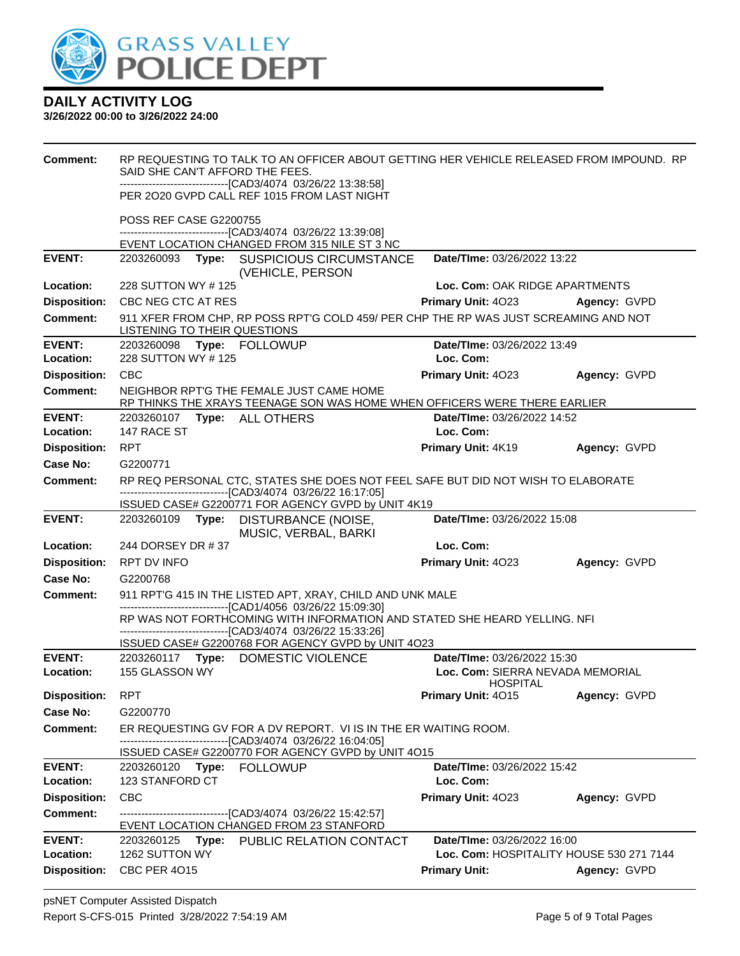

| Comment:                   | RP REQUESTING TO TALK TO AN OFFICER ABOUT GETTING HER VEHICLE RELEASED FROM IMPOUND. RP<br>SAID SHE CAN'T AFFORD THE FEES.<br>-------------------------------[CAD3/4074_03/26/22_13:38:58]<br>PER 2020 GVPD CALL REF 1015 FROM LAST NIGHT |                                                                                                                                                                                                        |                                                                 |                                          |  |
|----------------------------|-------------------------------------------------------------------------------------------------------------------------------------------------------------------------------------------------------------------------------------------|--------------------------------------------------------------------------------------------------------------------------------------------------------------------------------------------------------|-----------------------------------------------------------------|------------------------------------------|--|
|                            | <b>POSS REF CASE G2200755</b>                                                                                                                                                                                                             | -------------------------------[CAD3/4074 03/26/22 13:39:08]<br>EVENT LOCATION CHANGED FROM 315 NILE ST 3 NC                                                                                           |                                                                 |                                          |  |
| <b>EVENT:</b>              |                                                                                                                                                                                                                                           | 2203260093 Type: SUSPICIOUS CIRCUMSTANCE<br>(VEHICLE, PERSON                                                                                                                                           | Date/TIme: 03/26/2022 13:22                                     |                                          |  |
| Location:                  | 228 SUTTON WY # 125                                                                                                                                                                                                                       |                                                                                                                                                                                                        | Loc. Com: OAK RIDGE APARTMENTS                                  |                                          |  |
| <b>Disposition:</b>        | CBC NEG CTC AT RES                                                                                                                                                                                                                        |                                                                                                                                                                                                        | Primary Unit: 4023                                              | Agency: GVPD                             |  |
| <b>Comment:</b>            | LISTENING TO THEIR QUESTIONS                                                                                                                                                                                                              | 911 XFER FROM CHP, RP POSS RPT'G COLD 459/ PER CHP THE RP WAS JUST SCREAMING AND NOT                                                                                                                   |                                                                 |                                          |  |
| <b>EVENT:</b>              |                                                                                                                                                                                                                                           |                                                                                                                                                                                                        | Date/TIme: 03/26/2022 13:49                                     |                                          |  |
| Location:                  | 228 SUTTON WY #125                                                                                                                                                                                                                        |                                                                                                                                                                                                        | Loc. Com:                                                       |                                          |  |
| <b>Disposition:</b>        | <b>CBC</b>                                                                                                                                                                                                                                |                                                                                                                                                                                                        | Primary Unit: 4023                                              | Agency: GVPD                             |  |
| <b>Comment:</b>            |                                                                                                                                                                                                                                           | NEIGHBOR RPT'G THE FEMALE JUST CAME HOME<br>RP THINKS THE XRAYS TEENAGE SON WAS HOME WHEN OFFICERS WERE THERE EARLIER                                                                                  |                                                                 |                                          |  |
| <b>EVENT:</b>              | 2203260107    Type: ALL OTHERS                                                                                                                                                                                                            |                                                                                                                                                                                                        | Date/TIme: 03/26/2022 14:52                                     |                                          |  |
| Location:                  | 147 RACE ST                                                                                                                                                                                                                               |                                                                                                                                                                                                        | Loc. Com:                                                       |                                          |  |
| <b>Disposition:</b>        | <b>RPT</b>                                                                                                                                                                                                                                |                                                                                                                                                                                                        | Primary Unit: 4K19                                              | Agency: GVPD                             |  |
| Case No:                   | G2200771                                                                                                                                                                                                                                  |                                                                                                                                                                                                        |                                                                 |                                          |  |
| Comment:                   |                                                                                                                                                                                                                                           | RP REQ PERSONAL CTC, STATES SHE DOES NOT FEEL SAFE BUT DID NOT WISH TO ELABORATE<br>-------------------------------[CAD3/4074_03/26/22 16:17:05]<br>ISSUED CASE# G2200771 FOR AGENCY GVPD by UNIT 4K19 |                                                                 |                                          |  |
| <b>EVENT:</b>              | 2203260109                                                                                                                                                                                                                                | Type: DISTURBANCE (NOISE,                                                                                                                                                                              | Date/TIme: 03/26/2022 15:08                                     |                                          |  |
|                            |                                                                                                                                                                                                                                           | MUSIC, VERBAL, BARKI                                                                                                                                                                                   |                                                                 |                                          |  |
| Location:                  | 244 DORSEY DR # 37                                                                                                                                                                                                                        |                                                                                                                                                                                                        | Loc. Com:                                                       |                                          |  |
| <b>Disposition:</b>        | <b>RPT DV INFO</b>                                                                                                                                                                                                                        |                                                                                                                                                                                                        | Primary Unit: 4023                                              | Agency: GVPD                             |  |
| Case No:                   | G2200768                                                                                                                                                                                                                                  |                                                                                                                                                                                                        |                                                                 |                                          |  |
| <b>Comment:</b>            |                                                                                                                                                                                                                                           | 911 RPT'G 415 IN THE LISTED APT, XRAY, CHILD AND UNK MALE<br>-------------------------[CAD1/4056_03/26/22 15:09:30]                                                                                    |                                                                 |                                          |  |
|                            |                                                                                                                                                                                                                                           | RP WAS NOT FORTHCOMING WITH INFORMATION AND STATED SHE HEARD YELLING. NFI<br>------------------------[CAD3/4074_03/26/22 15:33:26]                                                                     |                                                                 |                                          |  |
|                            |                                                                                                                                                                                                                                           | ISSUED CASE# G2200768 FOR AGENCY GVPD by UNIT 4O23                                                                                                                                                     |                                                                 |                                          |  |
| <b>EVENT:</b><br>Location: | 155 GLASSON WY                                                                                                                                                                                                                            | 2203260117 Type: DOMESTIC VIOLENCE                                                                                                                                                                     | Date/TIme: 03/26/2022 15:30<br>Loc. Com: SIERRA NEVADA MEMORIAL |                                          |  |
|                            |                                                                                                                                                                                                                                           |                                                                                                                                                                                                        | <b>HOSPITAL</b>                                                 |                                          |  |
| <b>Disposition:</b>        | <b>RPT</b>                                                                                                                                                                                                                                |                                                                                                                                                                                                        | Primary Unit: 4015                                              | Agency: GVPD                             |  |
| Case No:                   | G2200770                                                                                                                                                                                                                                  |                                                                                                                                                                                                        |                                                                 |                                          |  |
| <b>Comment:</b>            |                                                                                                                                                                                                                                           | ER REQUESTING GV FOR A DV REPORT. VI IS IN THE ER WAITING ROOM.<br>---------------------[CAD3/4074_03/26/22_16:04:05]                                                                                  |                                                                 |                                          |  |
|                            |                                                                                                                                                                                                                                           | ISSUED CASE# G2200770 FOR AGENCY GVPD by UNIT 4O15                                                                                                                                                     |                                                                 |                                          |  |
| <b>EVENT:</b>              | 2203260120 Type: FOLLOWUP                                                                                                                                                                                                                 |                                                                                                                                                                                                        | Date/TIme: 03/26/2022 15:42                                     |                                          |  |
| Location:                  | 123 STANFORD CT                                                                                                                                                                                                                           |                                                                                                                                                                                                        | Loc. Com:                                                       |                                          |  |
| <b>Disposition:</b>        | <b>CBC</b>                                                                                                                                                                                                                                |                                                                                                                                                                                                        | Primary Unit: 4023                                              | Agency: GVPD                             |  |
| <b>Comment:</b>            |                                                                                                                                                                                                                                           | -------------------------------[CAD3/4074_03/26/22 15:42:57]<br>EVENT LOCATION CHANGED FROM 23 STANFORD                                                                                                |                                                                 |                                          |  |
| <b>EVENT:</b>              | 2203260125                                                                                                                                                                                                                                | Type: PUBLIC RELATION CONTACT                                                                                                                                                                          | Date/TIme: 03/26/2022 16:00                                     |                                          |  |
| Location:                  | 1262 SUTTON WY                                                                                                                                                                                                                            |                                                                                                                                                                                                        |                                                                 | Loc. Com: HOSPITALITY HOUSE 530 271 7144 |  |
| <b>Disposition:</b>        | <b>CBC PER 4015</b>                                                                                                                                                                                                                       |                                                                                                                                                                                                        | <b>Primary Unit:</b>                                            | Agency: GVPD                             |  |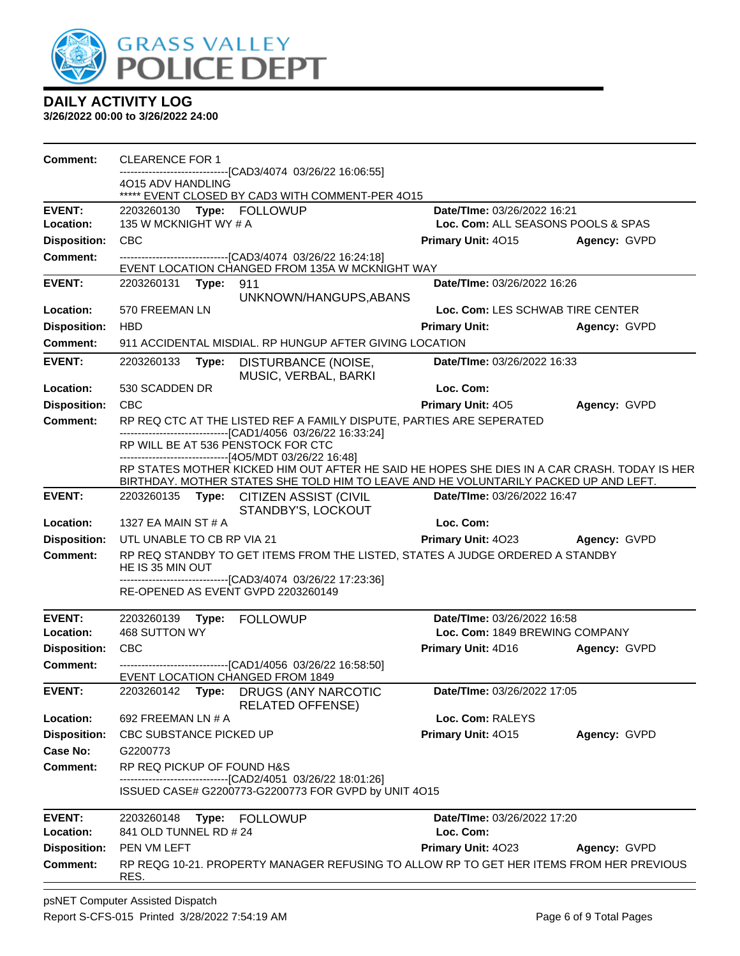

| <b>Comment:</b>            | <b>CLEARENCE FOR 1</b>                                                                                                                                                               |                                          |              |
|----------------------------|--------------------------------------------------------------------------------------------------------------------------------------------------------------------------------------|------------------------------------------|--------------|
|                            | ------------------------[CAD3/4074_03/26/22 16:06:55]<br>4O15 ADV HANDLING                                                                                                           |                                          |              |
|                            | ***** EVENT CLOSED BY CAD3 WITH COMMENT-PER 4015                                                                                                                                     |                                          |              |
| <b>EVENT:</b>              | 2203260130 Type: FOLLOWUP                                                                                                                                                            | Date/TIme: 03/26/2022 16:21              |              |
| Location:                  | 135 W MCKNIGHT WY # A                                                                                                                                                                | Loc. Com: ALL SEASONS POOLS & SPAS       |              |
| <b>Disposition:</b>        | <b>CBC</b>                                                                                                                                                                           | Primary Unit: 4015                       | Agency: GVPD |
| <b>Comment:</b>            | -------------------------------[CAD3/4074 03/26/22 16:24:18]<br>EVENT LOCATION CHANGED FROM 135A W MCKNIGHT WAY                                                                      |                                          |              |
| <b>EVENT:</b>              | 2203260131 Type:<br>911                                                                                                                                                              | Date/TIme: 03/26/2022 16:26              |              |
|                            | UNKNOWN/HANGUPS, ABANS                                                                                                                                                               |                                          |              |
| Location:                  | 570 FREEMAN LN                                                                                                                                                                       | Loc. Com: LES SCHWAB TIRE CENTER         |              |
| <b>Disposition:</b>        | <b>HBD</b>                                                                                                                                                                           | <b>Primary Unit:</b>                     | Agency: GVPD |
| <b>Comment:</b>            | 911 ACCIDENTAL MISDIAL. RP HUNGUP AFTER GIVING LOCATION                                                                                                                              |                                          |              |
| <b>EVENT:</b>              | 2203260133<br>Type:<br>DISTURBANCE (NOISE,<br>MUSIC, VERBAL, BARKI                                                                                                                   | Date/TIme: 03/26/2022 16:33              |              |
| Location:                  | 530 SCADDEN DR                                                                                                                                                                       | Loc. Com:                                |              |
| <b>Disposition:</b>        | CBC                                                                                                                                                                                  | Primary Unit: 405                        | Agency: GVPD |
| <b>Comment:</b>            | RP REQ CTC AT THE LISTED REF A FAMILY DISPUTE, PARTIES ARE SEPERATED<br>------------------------[CAD1/4056_03/26/22_16:33:24]                                                        |                                          |              |
|                            | RP WILL BE AT 536 PENSTOCK FOR CTC                                                                                                                                                   |                                          |              |
|                            | ------------------------------[4O5/MDT 03/26/22 16:48]                                                                                                                               |                                          |              |
|                            | RP STATES MOTHER KICKED HIM OUT AFTER HE SAID HE HOPES SHE DIES IN A CAR CRASH. TODAY IS HER<br>BIRTHDAY. MOTHER STATES SHE TOLD HIM TO LEAVE AND HE VOLUNTARILY PACKED UP AND LEFT. |                                          |              |
| <b>EVENT:</b>              | 2203260135<br>Type: CITIZEN ASSIST (CIVIL<br>STANDBY'S, LOCKOUT                                                                                                                      | Date/TIme: 03/26/2022 16:47              |              |
| Location:                  | 1327 EA MAIN ST # A                                                                                                                                                                  | Loc. Com:                                |              |
| <b>Disposition:</b>        | UTL UNABLE TO CB RP VIA 21                                                                                                                                                           | <b>Primary Unit: 4023</b>                | Agency: GVPD |
| <b>Comment:</b>            | RP REQ STANDBY TO GET ITEMS FROM THE LISTED, STATES A JUDGE ORDERED A STANDBY                                                                                                        |                                          |              |
|                            | HE IS 35 MIN OUT                                                                                                                                                                     |                                          |              |
|                            | -------------------------------[CAD3/4074 03/26/22 17:23:36]<br>RE-OPENED AS EVENT GVPD 2203260149                                                                                   |                                          |              |
|                            |                                                                                                                                                                                      |                                          |              |
| <b>EVENT:</b>              | 2203260139<br><b>FOLLOWUP</b><br>Type:                                                                                                                                               | Date/TIme: 03/26/2022 16:58              |              |
| Location:                  | 468 SUTTON WY                                                                                                                                                                        | Loc. Com: 1849 BREWING COMPANY           |              |
| <b>Disposition:</b>        | CBC                                                                                                                                                                                  | <b>Primary Unit: 4D16</b>                | Agency: GVPD |
| <b>Comment:</b>            | --------------------------------[CAD1/4056 03/26/22 16:58:50]<br>EVENT LOCATION CHANGED FROM 1849                                                                                    |                                          |              |
| <b>EVENT:</b>              | 2203260142<br>Type:<br><b>DRUGS (ANY NARCOTIC</b><br><b>RELATED OFFENSE)</b>                                                                                                         | Date/TIme: 03/26/2022 17:05              |              |
| Location:                  | 692 FREEMAN LN # A                                                                                                                                                                   | Loc. Com: RALEYS                         |              |
| <b>Disposition:</b>        | CBC SUBSTANCE PICKED UP                                                                                                                                                              | Primary Unit: 4015                       | Agency: GVPD |
| Case No:                   | G2200773                                                                                                                                                                             |                                          |              |
| Comment:                   | RP REQ PICKUP OF FOUND H&S                                                                                                                                                           |                                          |              |
|                            | -------------------------------[CAD2/4051 03/26/22 18:01:26]<br>ISSUED CASE# G2200773-G2200773 FOR GVPD by UNIT 4O15                                                                 |                                          |              |
|                            |                                                                                                                                                                                      |                                          |              |
| <b>EVENT:</b><br>Location: | 2203260148<br>Type: FOLLOWUP<br>841 OLD TUNNEL RD # 24                                                                                                                               | Date/TIme: 03/26/2022 17:20<br>Loc. Com: |              |
| <b>Disposition:</b>        | PEN VM LEFT                                                                                                                                                                          | Primary Unit: 4023                       | Agency: GVPD |
| <b>Comment:</b>            | RP REQG 10-21. PROPERTY MANAGER REFUSING TO ALLOW RP TO GET HER ITEMS FROM HER PREVIOUS                                                                                              |                                          |              |
|                            | RES.                                                                                                                                                                                 |                                          |              |
|                            |                                                                                                                                                                                      |                                          |              |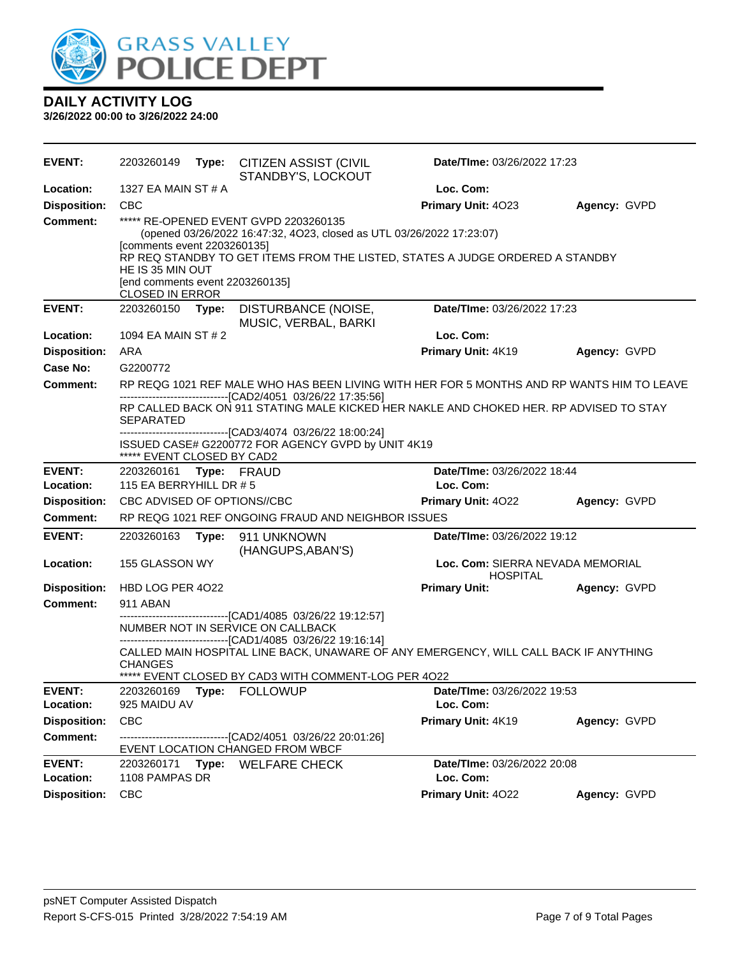

| <b>EVENT:</b>              | 2203260149                                                                                                   |       | Type: CITIZEN ASSIST (CIVIL<br>STANDBY'S, LOCKOUT                                                                                                                                               | Date/TIme: 03/26/2022 17:23                         |              |
|----------------------------|--------------------------------------------------------------------------------------------------------------|-------|-------------------------------------------------------------------------------------------------------------------------------------------------------------------------------------------------|-----------------------------------------------------|--------------|
| Location:                  | 1327 EA MAIN ST # A                                                                                          |       |                                                                                                                                                                                                 | Loc. Com:                                           |              |
| <b>Disposition:</b>        | <b>CBC</b>                                                                                                   |       |                                                                                                                                                                                                 | Primary Unit: 4023                                  | Agency: GVPD |
| <b>Comment:</b>            | [comments event 2203260135]<br>HE IS 35 MIN OUT<br>[end comments event 2203260135]<br><b>CLOSED IN ERROR</b> |       | ***** RE-OPENED EVENT GVPD 2203260135<br>(opened 03/26/2022 16:47:32, 4O23, closed as UTL 03/26/2022 17:23:07)<br>RP REQ STANDBY TO GET ITEMS FROM THE LISTED, STATES A JUDGE ORDERED A STANDBY |                                                     |              |
| <b>EVENT:</b>              | 2203260150 Type:                                                                                             |       | DISTURBANCE (NOISE,<br>MUSIC, VERBAL, BARKI                                                                                                                                                     | Date/TIme: 03/26/2022 17:23                         |              |
| Location:                  | 1094 EA MAIN ST # 2                                                                                          |       |                                                                                                                                                                                                 | Loc. Com:                                           |              |
| <b>Disposition:</b>        | ARA                                                                                                          |       |                                                                                                                                                                                                 | Primary Unit: 4K19                                  | Agency: GVPD |
| Case No:                   | G2200772                                                                                                     |       |                                                                                                                                                                                                 |                                                     |              |
| Comment:                   |                                                                                                              |       | RP REQG 1021 REF MALE WHO HAS BEEN LIVING WITH HER FOR 5 MONTHS AND RP WANTS HIM TO LEAVE                                                                                                       |                                                     |              |
|                            | SEPARATED                                                                                                    |       | --------------------------------[CAD2/4051 03/26/22 17:35:56]<br>RP CALLED BACK ON 911 STATING MALE KICKED HER NAKLE AND CHOKED HER. RP ADVISED TO STAY                                         |                                                     |              |
|                            | ***** EVENT CLOSED BY CAD2                                                                                   |       | -------------------------------[CAD3/4074 03/26/22 18:00:24]<br>ISSUED CASE# G2200772 FOR AGENCY GVPD by UNIT 4K19                                                                              |                                                     |              |
| <b>EVENT:</b>              | Date/TIme: 03/26/2022 18:44<br>2203260161 Type: FRAUD                                                        |       |                                                                                                                                                                                                 |                                                     |              |
| Location:                  | 115 EA BERRYHILL DR #5                                                                                       |       |                                                                                                                                                                                                 | Loc. Com:                                           |              |
| <b>Disposition:</b>        | CBC ADVISED OF OPTIONS//CBC                                                                                  |       |                                                                                                                                                                                                 | <b>Primary Unit: 4022</b>                           | Agency: GVPD |
| <b>Comment:</b>            |                                                                                                              |       | RP REQG 1021 REF ONGOING FRAUD AND NEIGHBOR ISSUES                                                                                                                                              |                                                     |              |
| <b>EVENT:</b>              | 2203260163                                                                                                   | Type: | 911 UNKNOWN<br>(HANGUPS, ABAN'S)                                                                                                                                                                | Date/TIme: 03/26/2022 19:12                         |              |
| Location:                  | 155 GLASSON WY                                                                                               |       |                                                                                                                                                                                                 | Loc. Com: SIERRA NEVADA MEMORIAL<br><b>HOSPITAL</b> |              |
| <b>Disposition:</b>        | HBD LOG PER 4022                                                                                             |       |                                                                                                                                                                                                 | <b>Primary Unit:</b>                                | Agency: GVPD |
| <b>Comment:</b>            | 911 ABAN                                                                                                     |       |                                                                                                                                                                                                 |                                                     |              |
|                            |                                                                                                              |       | ---------------------[CAD1/4085 03/26/22 19:12:57]<br>NUMBER NOT IN SERVICE ON CALLBACK                                                                                                         |                                                     |              |
|                            |                                                                                                              |       | --------------------------------[CAD1/4085 03/26/22 19:16:14]<br>CALLED MAIN HOSPITAL LINE BACK, UNAWARE OF ANY EMERGENCY, WILL CALL BACK IF ANYTHING                                           |                                                     |              |
|                            | CHANGES                                                                                                      |       | ***** EVENT CLOSED BY CAD3 WITH COMMENT-LOG PER 4022                                                                                                                                            |                                                     |              |
| <b>EVENT:</b>              |                                                                                                              |       |                                                                                                                                                                                                 | Date/TIme: 03/26/2022 19:53                         |              |
| Location:                  | 925 MAIDU AV                                                                                                 |       |                                                                                                                                                                                                 | Loc. Com:                                           |              |
| <b>Disposition:</b>        | <b>CBC</b>                                                                                                   |       |                                                                                                                                                                                                 | Primary Unit: 4K19                                  | Agency: GVPD |
| Comment:                   |                                                                                                              |       | -------------------------------[CAD2/4051_03/26/22_20:01:26]<br>EVENT LOCATION CHANGED FROM WBCF                                                                                                |                                                     |              |
| <b>EVENT:</b><br>Location: | 1108 PAMPAS DR                                                                                               |       | 2203260171 Type: WELFARE CHECK                                                                                                                                                                  | Date/TIme: 03/26/2022 20:08<br>Loc. Com:            |              |
| <b>Disposition:</b>        | <b>CBC</b>                                                                                                   |       |                                                                                                                                                                                                 | Primary Unit: 4022                                  | Agency: GVPD |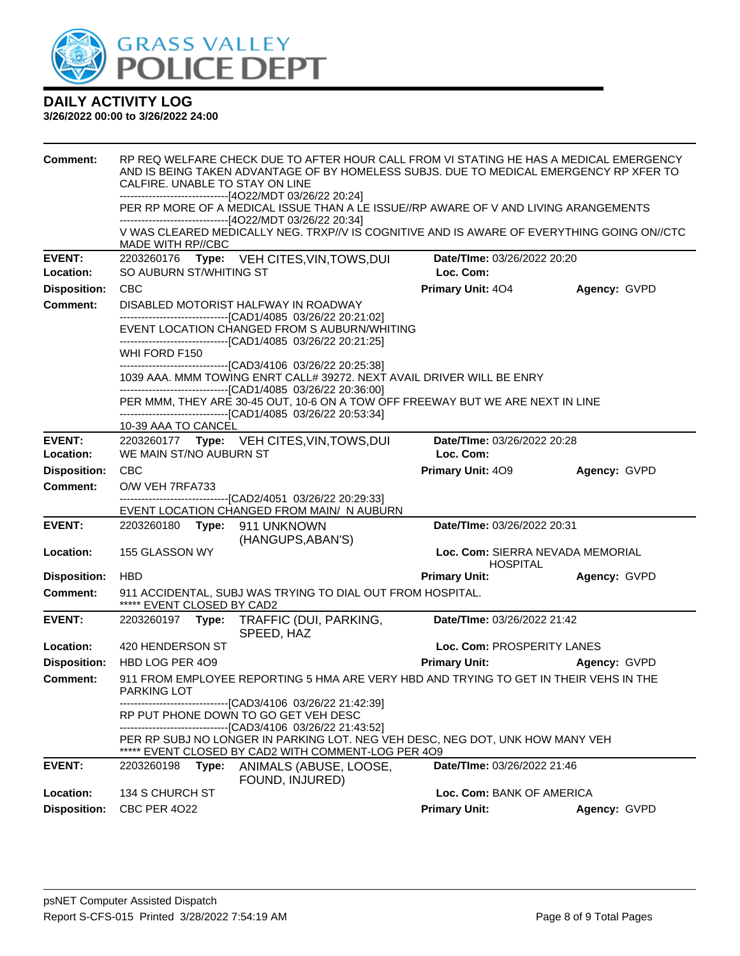

| <b>Comment:</b>            | RP REQ WELFARE CHECK DUE TO AFTER HOUR CALL FROM VI STATING HE HAS A MEDICAL EMERGENCY<br>AND IS BEING TAKEN ADVANTAGE OF BY HOMELESS SUBJS. DUE TO MEDICAL EMERGENCY RP XFER TO<br>CALFIRE. UNABLE TO STAY ON LINE<br>------------------------------[4O22/MDT 03/26/22 20:24]<br>PER RP MORE OF A MEDICAL ISSUE THAN A LE ISSUE//RP AWARE OF V AND LIVING ARANGEMENTS<br>------------------------------[4O22/MDT 03/26/22 20:34] |       |                                                                                                                                                                                                |                                                     |              |  |
|----------------------------|-----------------------------------------------------------------------------------------------------------------------------------------------------------------------------------------------------------------------------------------------------------------------------------------------------------------------------------------------------------------------------------------------------------------------------------|-------|------------------------------------------------------------------------------------------------------------------------------------------------------------------------------------------------|-----------------------------------------------------|--------------|--|
|                            | MADE WITH RP//CBC                                                                                                                                                                                                                                                                                                                                                                                                                 |       | V WAS CLEARED MEDICALLY NEG. TRXP//V IS COGNITIVE AND IS AWARE OF EVERYTHING GOING ON//CTC                                                                                                     |                                                     |              |  |
| <b>EVENT:</b><br>Location: | SO AUBURN ST/WHITING ST                                                                                                                                                                                                                                                                                                                                                                                                           |       | 2203260176 Type: VEH CITES, VIN, TOWS, DUI                                                                                                                                                     | Date/TIme: 03/26/2022 20:20<br>Loc. Com:            |              |  |
| <b>Disposition:</b>        | <b>CBC</b>                                                                                                                                                                                                                                                                                                                                                                                                                        |       |                                                                                                                                                                                                | Primary Unit: 404                                   | Agency: GVPD |  |
| <b>Comment:</b>            |                                                                                                                                                                                                                                                                                                                                                                                                                                   |       | DISABLED MOTORIST HALFWAY IN ROADWAY                                                                                                                                                           |                                                     |              |  |
|                            |                                                                                                                                                                                                                                                                                                                                                                                                                                   |       | -------------------------------[CAD1/4085 03/26/22 20:21:02]<br>EVENT LOCATION CHANGED FROM S AUBURN/WHITING                                                                                   |                                                     |              |  |
|                            |                                                                                                                                                                                                                                                                                                                                                                                                                                   |       | -------------------------------[CAD1/4085 03/26/22 20:21:25]                                                                                                                                   |                                                     |              |  |
|                            | WHI FORD F150                                                                                                                                                                                                                                                                                                                                                                                                                     |       | -------------------------------[CAD3/4106 03/26/22 20:25:38]                                                                                                                                   |                                                     |              |  |
|                            |                                                                                                                                                                                                                                                                                                                                                                                                                                   |       | 1039 AAA. MMM TOWING ENRT CALL# 39272. NEXT AVAIL DRIVER WILL BE ENRY                                                                                                                          |                                                     |              |  |
|                            |                                                                                                                                                                                                                                                                                                                                                                                                                                   |       | --------------------------------[CAD1/4085 03/26/22 20:36:00]                                                                                                                                  |                                                     |              |  |
|                            |                                                                                                                                                                                                                                                                                                                                                                                                                                   |       | PER MMM, THEY ARE 30-45 OUT, 10-6 ON A TOW OFF FREEWAY BUT WE ARE NEXT IN LINE<br>---------------------------------[CAD1/4085 03/26/22 20:53:34]                                               |                                                     |              |  |
|                            | 10-39 AAA TO CANCEL                                                                                                                                                                                                                                                                                                                                                                                                               |       |                                                                                                                                                                                                |                                                     |              |  |
| <b>EVENT:</b>              |                                                                                                                                                                                                                                                                                                                                                                                                                                   |       | 2203260177 Type: VEH CITES, VIN, TOWS, DUI                                                                                                                                                     | Date/TIme: 03/26/2022 20:28                         |              |  |
| Location:                  | WE MAIN ST/NO AUBURN ST                                                                                                                                                                                                                                                                                                                                                                                                           |       |                                                                                                                                                                                                | Loc. Com:                                           |              |  |
| <b>Disposition:</b>        | <b>CBC</b>                                                                                                                                                                                                                                                                                                                                                                                                                        |       |                                                                                                                                                                                                | <b>Primary Unit: 409</b>                            | Agency: GVPD |  |
| <b>Comment:</b>            | O/W VEH 7RFA733                                                                                                                                                                                                                                                                                                                                                                                                                   |       | -------------------------------[CAD2/4051_03/26/22 20:29:33]                                                                                                                                   |                                                     |              |  |
|                            |                                                                                                                                                                                                                                                                                                                                                                                                                                   |       | EVENT LOCATION CHANGED FROM MAIN/ N AUBURN                                                                                                                                                     |                                                     |              |  |
| <b>EVENT:</b>              |                                                                                                                                                                                                                                                                                                                                                                                                                                   |       | 2203260180 Type: 911 UNKNOWN<br>(HANGUPS, ABAN'S)                                                                                                                                              | Date/TIme: 03/26/2022 20:31                         |              |  |
| Location:                  | 155 GLASSON WY                                                                                                                                                                                                                                                                                                                                                                                                                    |       |                                                                                                                                                                                                | Loc. Com: SIERRA NEVADA MEMORIAL<br><b>HOSPITAL</b> |              |  |
| <b>Disposition:</b>        | <b>HBD</b>                                                                                                                                                                                                                                                                                                                                                                                                                        |       |                                                                                                                                                                                                | <b>Primary Unit:</b>                                | Agency: GVPD |  |
| <b>Comment:</b>            | ***** EVENT CLOSED BY CAD2                                                                                                                                                                                                                                                                                                                                                                                                        |       | 911 ACCIDENTAL, SUBJ WAS TRYING TO DIAL OUT FROM HOSPITAL.                                                                                                                                     |                                                     |              |  |
| <b>EVENT:</b>              | 2203260197                                                                                                                                                                                                                                                                                                                                                                                                                        | Type: | TRAFFIC (DUI, PARKING,<br>SPEED, HAZ                                                                                                                                                           | Date/TIme: 03/26/2022 21:42                         |              |  |
| Location:                  | 420 HENDERSON ST                                                                                                                                                                                                                                                                                                                                                                                                                  |       |                                                                                                                                                                                                | Loc. Com: PROSPERITY LANES                          |              |  |
| <b>Disposition:</b>        | HBD LOG PER 409                                                                                                                                                                                                                                                                                                                                                                                                                   |       |                                                                                                                                                                                                | <b>Primary Unit:</b>                                | Agency: GVPD |  |
| <b>Comment:</b>            | PARKING LOT                                                                                                                                                                                                                                                                                                                                                                                                                       |       | 911 FROM EMPLOYEE REPORTING 5 HMA ARE VERY HBD AND TRYING TO GET IN THEIR VEHS IN THE                                                                                                          |                                                     |              |  |
|                            |                                                                                                                                                                                                                                                                                                                                                                                                                                   |       | -------------------------------[CAD3/4106 03/26/22 21:42:39]                                                                                                                                   |                                                     |              |  |
|                            |                                                                                                                                                                                                                                                                                                                                                                                                                                   |       | RP PUT PHONE DOWN TO GO GET VEH DESC                                                                                                                                                           |                                                     |              |  |
|                            |                                                                                                                                                                                                                                                                                                                                                                                                                                   |       | -------------------------------[CAD3/4106 03/26/22 21:43:52]<br>PER RP SUBJ NO LONGER IN PARKING LOT. NEG VEH DESC, NEG DOT, UNK HOW MANY VEH<br>EVENT CLOSED BY CAD2 WITH COMMENT-LOG PER 4O9 |                                                     |              |  |
| <b>EVENT:</b>              | 2203260198                                                                                                                                                                                                                                                                                                                                                                                                                        | Type: | ANIMALS (ABUSE, LOOSE,<br>FOUND, INJURED)                                                                                                                                                      | Date/TIme: 03/26/2022 21:46                         |              |  |
| Location:                  | 134 S CHURCH ST                                                                                                                                                                                                                                                                                                                                                                                                                   |       |                                                                                                                                                                                                | Loc. Com: BANK OF AMERICA                           |              |  |
| <b>Disposition:</b>        | <b>CBC PER 4022</b>                                                                                                                                                                                                                                                                                                                                                                                                               |       |                                                                                                                                                                                                | <b>Primary Unit:</b>                                | Agency: GVPD |  |